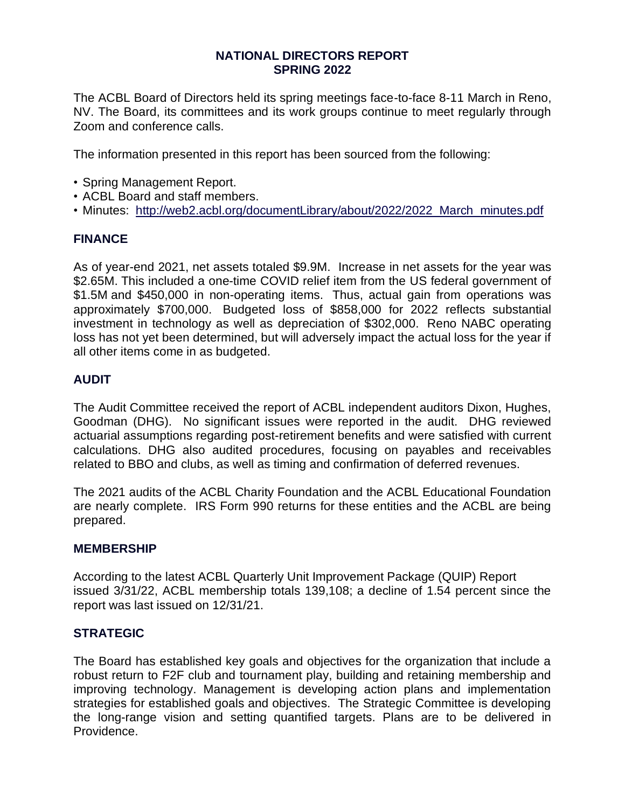### **NATIONAL DIRECTORS REPORT SPRING 2022**

The ACBL Board of Directors held its spring meetings face-to-face 8-11 March in Reno, NV. The Board, its committees and its work groups continue to meet regularly through Zoom and conference calls.

The information presented in this report has been sourced from the following:

- Spring Management Report.
- ACBL Board and staff members.
- Minutes: [http://web2.acbl.org/documentLibrary/about/2022/2022\\_March\\_minutes.pdf](http://web2.acbl.org/documentLibrary/about/2022/2022_March_minutes.pdf)

# **FINANCE**

As of year-end 2021, net assets totaled \$9.9M. Increase in net assets for the year was \$2.65M. This included a one-time COVID relief item from the US federal government of \$1.5M and \$450,000 in non-operating items. Thus, actual gain from operations was approximately \$700,000. Budgeted loss of \$858,000 for 2022 reflects substantial investment in technology as well as depreciation of \$302,000. Reno NABC operating loss has not yet been determined, but will adversely impact the actual loss for the year if all other items come in as budgeted.

# **AUDIT**

The Audit Committee received the report of ACBL independent auditors Dixon, Hughes, Goodman (DHG). No significant issues were reported in the audit. DHG reviewed actuarial assumptions regarding post-retirement benefits and were satisfied with current calculations. DHG also audited procedures, focusing on payables and receivables related to BBO and clubs, as well as timing and confirmation of deferred revenues.

The 2021 audits of the ACBL Charity Foundation and the ACBL Educational Foundation are nearly complete. IRS Form 990 returns for these entities and the ACBL are being prepared.

# **MEMBERSHIP**

According to the latest ACBL Quarterly Unit Improvement Package (QUIP) Report issued 3/31/22, ACBL membership totals 139,108; a decline of 1.54 percent since the report was last issued on 12/31/21.

# **STRATEGIC**

The Board has established key goals and objectives for the organization that include a robust return to F2F club and tournament play, building and retaining membership and improving technology. Management is developing action plans and implementation strategies for established goals and objectives. The Strategic Committee is developing the long-range vision and setting quantified targets. Plans are to be delivered in Providence.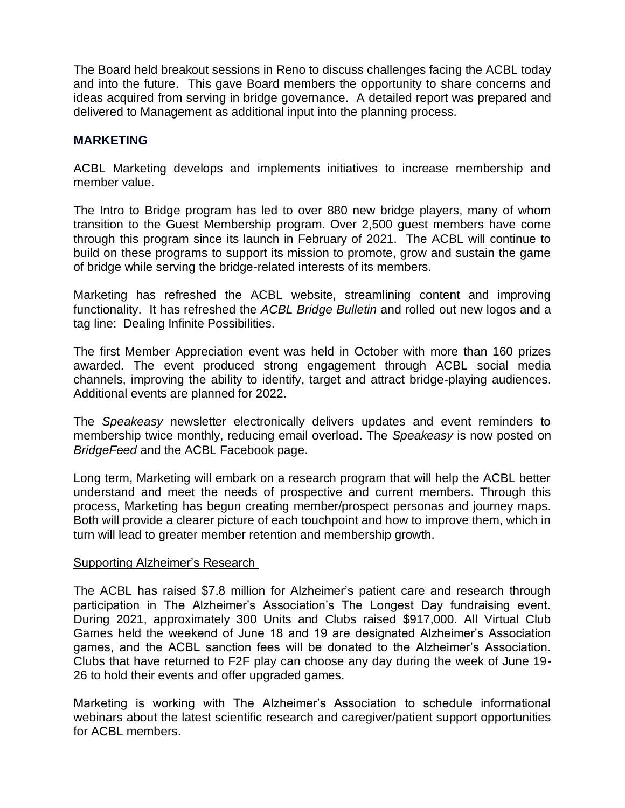The Board held breakout sessions in Reno to discuss challenges facing the ACBL today and into the future. This gave Board members the opportunity to share concerns and ideas acquired from serving in bridge governance. A detailed report was prepared and delivered to Management as additional input into the planning process.

### **MARKETING**

ACBL Marketing develops and implements initiatives to increase membership and member value.

The Intro to Bridge program has led to over 880 new bridge players, many of whom transition to the Guest Membership program. Over 2,500 guest members have come through this program since its launch in February of 2021. The ACBL will continue to build on these programs to support its mission to promote, grow and sustain the game of bridge while serving the bridge-related interests of its members.

Marketing has refreshed the ACBL website, streamlining content and improving functionality. It has refreshed the *ACBL Bridge Bulletin* and rolled out new logos and a tag line: Dealing Infinite Possibilities.

The first Member Appreciation event was held in October with more than 160 prizes awarded. The event produced strong engagement through ACBL social media channels, improving the ability to identify, target and attract bridge-playing audiences. Additional events are planned for 2022.

The *Speakeasy* newsletter electronically delivers updates and event reminders to membership twice monthly, reducing email overload. The *Speakeasy* is now posted on *BridgeFeed* and the ACBL Facebook page.

Long term, Marketing will embark on a research program that will help the ACBL better understand and meet the needs of prospective and current members. Through this process, Marketing has begun creating member/prospect personas and journey maps. Both will provide a clearer picture of each touchpoint and how to improve them, which in turn will lead to greater member retention and membership growth.

### Supporting Alzheimer's Research

The ACBL has raised \$7.8 million for Alzheimer's patient care and research through participation in The Alzheimer's Association's The Longest Day fundraising event. During 2021, approximately 300 Units and Clubs raised \$917,000. All Virtual Club Games held the weekend of June 18 and 19 are designated Alzheimer's Association games, and the ACBL sanction fees will be donated to the Alzheimer's Association. Clubs that have returned to F2F play can choose any day during the week of June 19- 26 to hold their events and offer upgraded games.

Marketing is working with The Alzheimer's Association to schedule informational webinars about the latest scientific research and caregiver/patient support opportunities for ACBL members.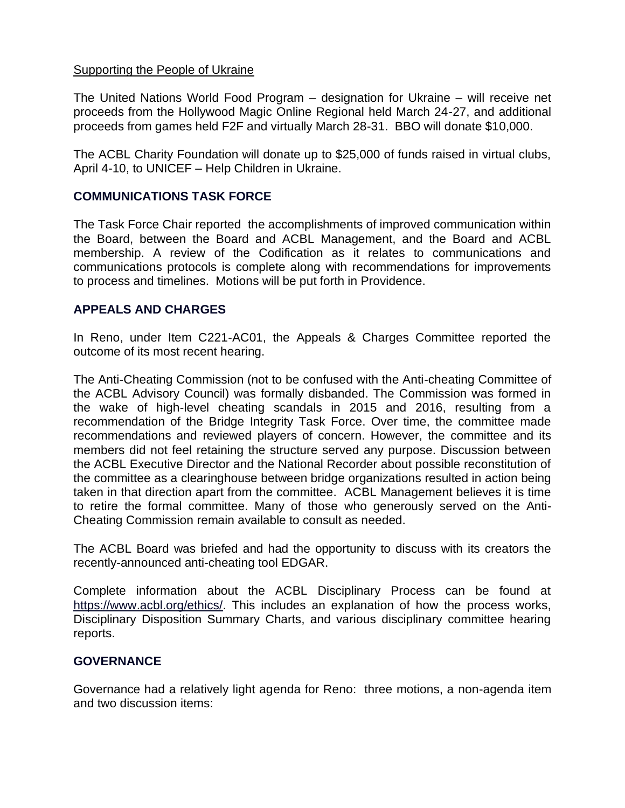### Supporting the People of Ukraine

The United Nations World Food Program – designation for Ukraine – will receive net proceeds from the Hollywood Magic Online Regional held March 24-27, and additional proceeds from games held F2F and virtually March 28-31. BBO will donate \$10,000.

The ACBL Charity Foundation will donate up to \$25,000 of funds raised in virtual clubs, April 4-10, to UNICEF – Help Children in Ukraine.

# **COMMUNICATIONS TASK FORCE**

The Task Force Chair reported the accomplishments of improved communication within the Board, between the Board and ACBL Management, and the Board and ACBL membership. A review of the Codification as it relates to communications and communications protocols is complete along with recommendations for improvements to process and timelines. Motions will be put forth in Providence.

# **APPEALS AND CHARGES**

In Reno, under Item C221-AC01, the Appeals & Charges Committee reported the outcome of its most recent hearing.

The Anti-Cheating Commission (not to be confused with the Anti-cheating Committee of the ACBL Advisory Council) was formally disbanded. The Commission was formed in the wake of high-level cheating scandals in 2015 and 2016, resulting from a recommendation of the Bridge Integrity Task Force. Over time, the committee made recommendations and reviewed players of concern. However, the committee and its members did not feel retaining the structure served any purpose. Discussion between the ACBL Executive Director and the National Recorder about possible reconstitution of the committee as a clearinghouse between bridge organizations resulted in action being taken in that direction apart from the committee. ACBL Management believes it is time to retire the formal committee. Many of those who generously served on the Anti-Cheating Commission remain available to consult as needed.

The ACBL Board was briefed and had the opportunity to discuss with its creators the recently-announced anti-cheating tool EDGAR.

Complete information about the ACBL Disciplinary Process can be found at [https://www.acbl.org/ethics/.](https://www.acbl.org/ethics/) This includes an explanation of how the process works, Disciplinary Disposition Summary Charts, and various disciplinary committee hearing reports.

# **GOVERNANCE**

Governance had a relatively light agenda for Reno: three motions, a non-agenda item and two discussion items: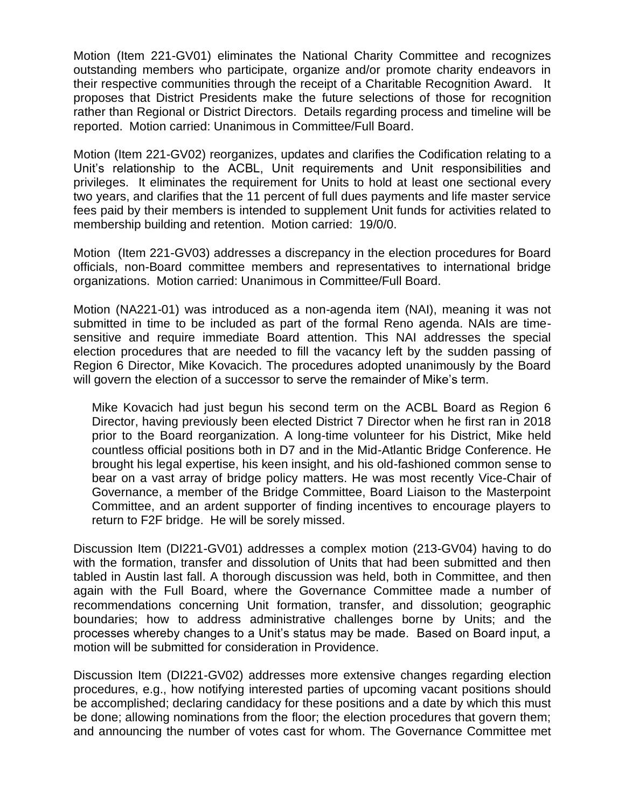Motion (Item 221-GV01) eliminates the National Charity Committee and recognizes outstanding members who participate, organize and/or promote charity endeavors in their respective communities through the receipt of a Charitable Recognition Award. It proposes that District Presidents make the future selections of those for recognition rather than Regional or District Directors. Details regarding process and timeline will be reported. Motion carried: Unanimous in Committee/Full Board.

Motion (Item 221-GV02) reorganizes, updates and clarifies the Codification relating to a Unit's relationship to the ACBL, Unit requirements and Unit responsibilities and privileges. It eliminates the requirement for Units to hold at least one sectional every two years, and clarifies that the 11 percent of full dues payments and life master service fees paid by their members is intended to supplement Unit funds for activities related to membership building and retention. Motion carried: 19/0/0.

Motion (Item 221-GV03) addresses a discrepancy in the election procedures for Board officials, non-Board committee members and representatives to international bridge organizations. Motion carried: Unanimous in Committee/Full Board.

Motion (NA221-01) was introduced as a non-agenda item (NAI), meaning it was not submitted in time to be included as part of the formal Reno agenda. NAIs are timesensitive and require immediate Board attention. This NAI addresses the special election procedures that are needed to fill the vacancy left by the sudden passing of Region 6 Director, Mike Kovacich. The procedures adopted unanimously by the Board will govern the election of a successor to serve the remainder of Mike's term.

Mike Kovacich had just begun his second term on the ACBL Board as Region 6 Director, having previously been elected District 7 Director when he first ran in 2018 prior to the Board reorganization. A long-time volunteer for his District, Mike held countless official positions both in D7 and in the Mid-Atlantic Bridge Conference. He brought his legal expertise, his keen insight, and his old-fashioned common sense to bear on a vast array of bridge policy matters. He was most recently Vice-Chair of Governance, a member of the Bridge Committee, Board Liaison to the Masterpoint Committee, and an ardent supporter of finding incentives to encourage players to return to F2F bridge. He will be sorely missed.

Discussion Item (DI221-GV01) addresses a complex motion (213-GV04) having to do with the formation, transfer and dissolution of Units that had been submitted and then tabled in Austin last fall. A thorough discussion was held, both in Committee, and then again with the Full Board, where the Governance Committee made a number of recommendations concerning Unit formation, transfer, and dissolution; geographic boundaries; how to address administrative challenges borne by Units; and the processes whereby changes to a Unit's status may be made. Based on Board input, a motion will be submitted for consideration in Providence.

Discussion Item (DI221-GV02) addresses more extensive changes regarding election procedures, e.g., how notifying interested parties of upcoming vacant positions should be accomplished; declaring candidacy for these positions and a date by which this must be done; allowing nominations from the floor; the election procedures that govern them; and announcing the number of votes cast for whom. The Governance Committee met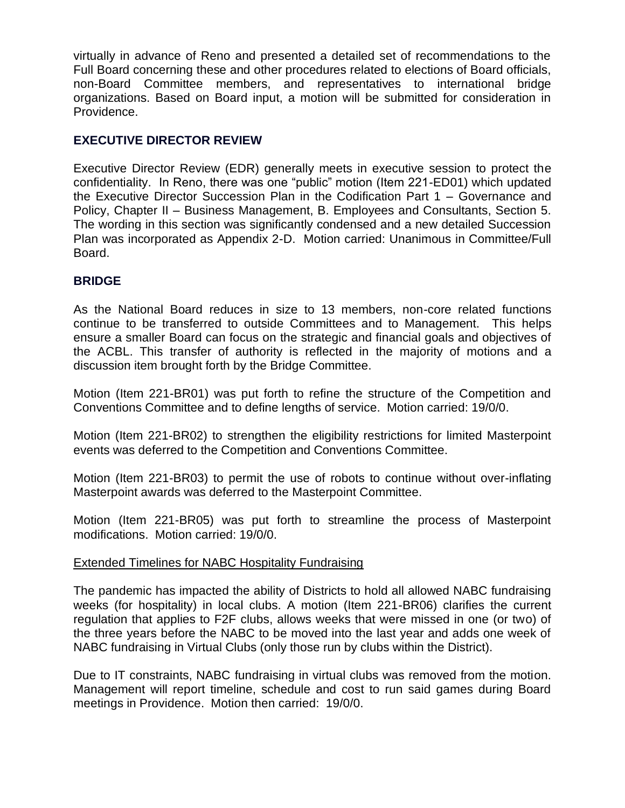virtually in advance of Reno and presented a detailed set of recommendations to the Full Board concerning these and other procedures related to elections of Board officials, non-Board Committee members, and representatives to international bridge organizations. Based on Board input, a motion will be submitted for consideration in Providence.

# **EXECUTIVE DIRECTOR REVIEW**

Executive Director Review (EDR) generally meets in executive session to protect the confidentiality. In Reno, there was one "public" motion (Item 221-ED01) which updated the Executive Director Succession Plan in the Codification Part 1 – Governance and Policy, Chapter II – Business Management, B. Employees and Consultants, Section 5. The wording in this section was significantly condensed and a new detailed Succession Plan was incorporated as Appendix 2-D. Motion carried: Unanimous in Committee/Full Board.

# **BRIDGE**

As the National Board reduces in size to 13 members, non-core related functions continue to be transferred to outside Committees and to Management. This helps ensure a smaller Board can focus on the strategic and financial goals and objectives of the ACBL. This transfer of authority is reflected in the majority of motions and a discussion item brought forth by the Bridge Committee.

Motion (Item 221-BR01) was put forth to refine the structure of the Competition and Conventions Committee and to define lengths of service. Motion carried: 19/0/0.

Motion (Item 221-BR02) to strengthen the eligibility restrictions for limited Masterpoint events was deferred to the Competition and Conventions Committee.

Motion (Item 221-BR03) to permit the use of robots to continue without over-inflating Masterpoint awards was deferred to the Masterpoint Committee.

Motion (Item 221-BR05) was put forth to streamline the process of Masterpoint modifications. Motion carried: 19/0/0.

# Extended Timelines for NABC Hospitality Fundraising

The pandemic has impacted the ability of Districts to hold all allowed NABC fundraising weeks (for hospitality) in local clubs. A motion (Item 221-BR06) clarifies the current regulation that applies to F2F clubs, allows weeks that were missed in one (or two) of the three years before the NABC to be moved into the last year and adds one week of NABC fundraising in Virtual Clubs (only those run by clubs within the District).

Due to IT constraints, NABC fundraising in virtual clubs was removed from the motion. Management will report timeline, schedule and cost to run said games during Board meetings in Providence. Motion then carried: 19/0/0.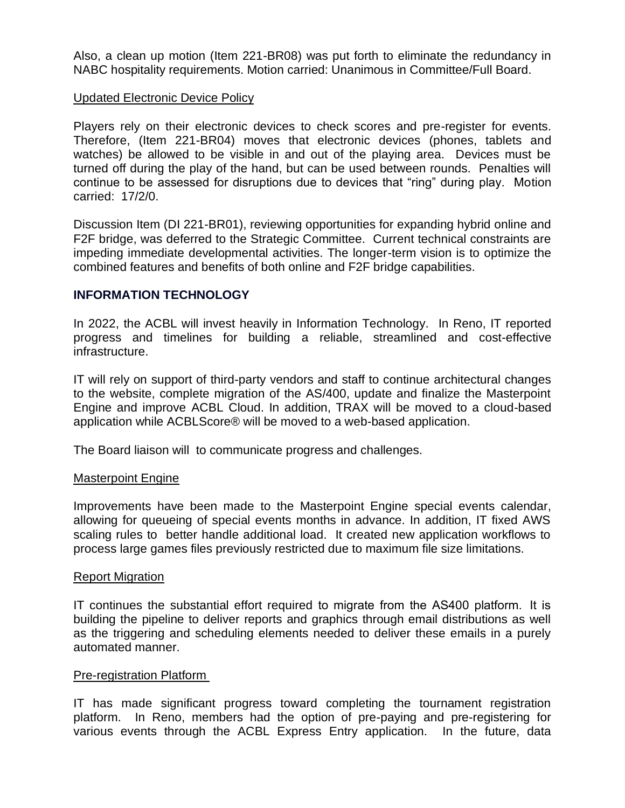Also, a clean up motion (Item 221-BR08) was put forth to eliminate the redundancy in NABC hospitality requirements. Motion carried: Unanimous in Committee/Full Board.

### Updated Electronic Device Policy

Players rely on their electronic devices to check scores and pre-register for events. Therefore, (Item 221-BR04) moves that electronic devices (phones, tablets and watches) be allowed to be visible in and out of the playing area. Devices must be turned off during the play of the hand, but can be used between rounds. Penalties will continue to be assessed for disruptions due to devices that "ring" during play. Motion carried: 17/2/0.

Discussion Item (DI 221-BR01), reviewing opportunities for expanding hybrid online and F2F bridge, was deferred to the Strategic Committee. Current technical constraints are impeding immediate developmental activities. The longer-term vision is to optimize the combined features and benefits of both online and F2F bridge capabilities.

# **INFORMATION TECHNOLOGY**

In 2022, the ACBL will invest heavily in Information Technology. In Reno, IT reported progress and timelines for building a reliable, streamlined and cost-effective infrastructure.

IT will rely on support of third-party vendors and staff to continue architectural changes to the website, complete migration of the AS/400, update and finalize the Masterpoint Engine and improve ACBL Cloud. In addition, TRAX will be moved to a cloud-based application while ACBLScore® will be moved to a web-based application.

The Board liaison will to communicate progress and challenges.

### Masterpoint Engine

Improvements have been made to the Masterpoint Engine special events calendar, allowing for queueing of special events months in advance. In addition, IT fixed AWS scaling rules to better handle additional load. It created new application workflows to process large games files previously restricted due to maximum file size limitations.

### Report Migration

IT continues the substantial effort required to migrate from the AS400 platform.  It is building the pipeline to deliver reports and graphics through email distributions as well as the triggering and scheduling elements needed to deliver these emails in a purely automated manner.

### Pre-registration Platform

IT has made significant progress toward completing the tournament registration platform. In Reno, members had the option of pre-paying and pre-registering for various events through the ACBL Express Entry application. In the future, data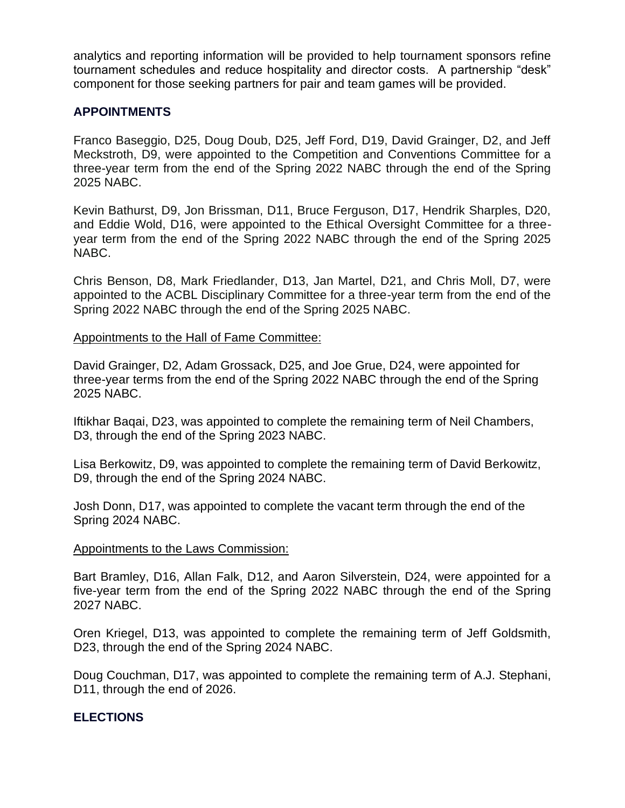analytics and reporting information will be provided to help tournament sponsors refine tournament schedules and reduce hospitality and director costs. A partnership "desk" component for those seeking partners for pair and team games will be provided.

# **APPOINTMENTS**

Franco Baseggio, D25, Doug Doub, D25, Jeff Ford, D19, David Grainger, D2, and Jeff Meckstroth, D9, were appointed to the Competition and Conventions Committee for a three-year term from the end of the Spring 2022 NABC through the end of the Spring 2025 NABC.

Kevin Bathurst, D9, Jon Brissman, D11, Bruce Ferguson, D17, Hendrik Sharples, D20, and Eddie Wold, D16, were appointed to the Ethical Oversight Committee for a threeyear term from the end of the Spring 2022 NABC through the end of the Spring 2025 NABC.

Chris Benson, D8, Mark Friedlander, D13, Jan Martel, D21, and Chris Moll, D7, were appointed to the ACBL Disciplinary Committee for a three-year term from the end of the Spring 2022 NABC through the end of the Spring 2025 NABC.

### Appointments to the Hall of Fame Committee:

David Grainger, D2, Adam Grossack, D25, and Joe Grue, D24, were appointed for three-year terms from the end of the Spring 2022 NABC through the end of the Spring 2025 NABC.

Iftikhar Baqai, D23, was appointed to complete the remaining term of Neil Chambers, D3, through the end of the Spring 2023 NABC.

Lisa Berkowitz, D9, was appointed to complete the remaining term of David Berkowitz, D9, through the end of the Spring 2024 NABC.

Josh Donn, D17, was appointed to complete the vacant term through the end of the Spring 2024 NABC.

### Appointments to the Laws Commission:

Bart Bramley, D16, Allan Falk, D12, and Aaron Silverstein, D24, were appointed for a five-year term from the end of the Spring 2022 NABC through the end of the Spring 2027 NABC.

Oren Kriegel, D13, was appointed to complete the remaining term of Jeff Goldsmith, D23, through the end of the Spring 2024 NABC.

Doug Couchman, D17, was appointed to complete the remaining term of A.J. Stephani, D11, through the end of 2026.

# **ELECTIONS**